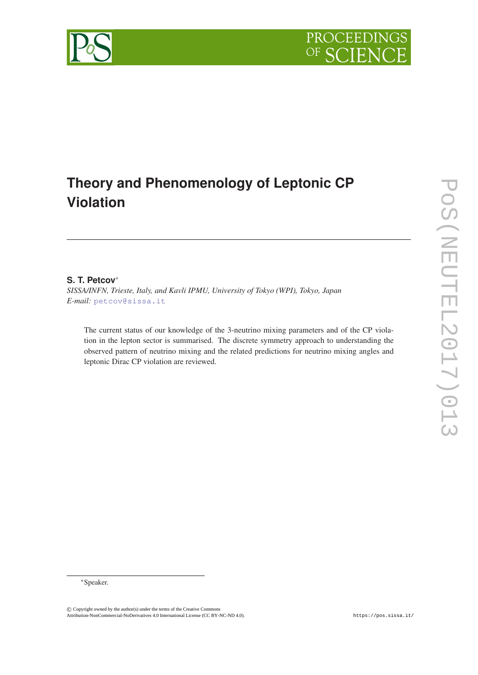

# **Theory and Phenomenology of Leptonic CP Violation**

# **S. T. Petcov**<sup>∗</sup>

*SISSA/INFN, Trieste, Italy, and Kavli IPMU, University of Tokyo (WPI), Tokyo, Japan E-mail:* [petcov@sissa.it](mailto:petcov@sissa.it)

The current status of our knowledge of the 3-neutrino mixing parameters and of the CP violation in the lepton sector is summarised. The discrete symmetry approach to understanding the observed pattern of neutrino mixing and the related predictions for neutrino mixing angles and leptonic Dirac CP violation are reviewed.

<sup>∗</sup>Speaker.

<sup>©</sup> Copyright owned by the author(s) under the terms of the Creative Commons Attribution-NonCommercial-NoDerivatives 4.0 International License (CC BY-NC-ND 4.0). https://pos.sissa.it/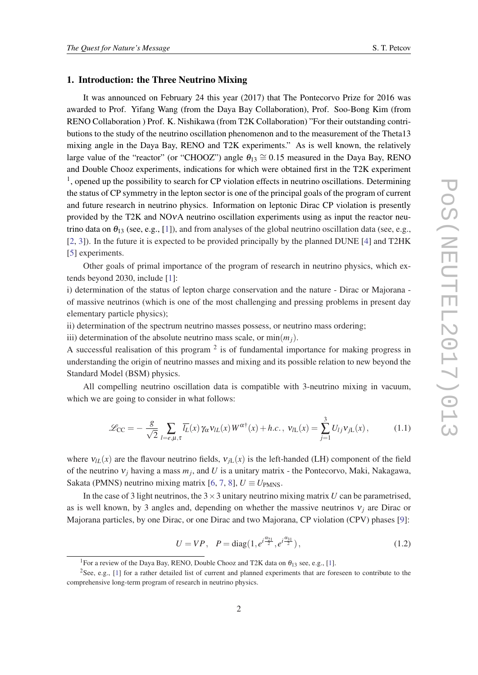#### 1. Introduction: the Three Neutrino Mixing

It was announced on February 24 this year (2017) that The Pontecorvo Prize for 2016 was awarded to Prof. Yifang Wang (from the Daya Bay Collaboration), Prof. Soo-Bong Kim (from RENO Collaboration ) Prof. K. Nishikawa (from T2K Collaboration) "For their outstanding contributions to the study of the neutrino oscillation phenomenon and to the measurement of the Theta13 mixing angle in the Daya Bay, RENO and T2K experiments." As is well known, the relatively large value of the "reactor" (or "CHOOZ") angle  $\theta_{13} \cong 0.15$  measured in the Daya Bay, RENO and Double Chooz experiments, indications for which were obtained first in the T2K experiment <sup>1</sup>, opened up the possibility to search for CP violation effects in neutrino oscillations. Determining the status of CP symmetry in the lepton sector is one of the principal goals of the program of current and future research in neutrino physics. Information on leptonic Dirac CP violation is presently provided by the T2K and NOνA neutrino oscillation experiments using as input the reactor neutrino data on  $\theta_{13}$  (see, e.g., [\[1\]](#page-13-0)), and from analyses of the global neutrino oscillation data (see, e.g., [[2](#page-13-0), [3](#page-13-0)]). In the future it is expected to be provided principally by the planned DUNE [[4](#page-13-0)] and T2HK [[5](#page-13-0)] experiments.

Other goals of primal importance of the program of research in neutrino physics, which extends beyond 2030, include [[1\]](#page-13-0):

i) determination of the status of lepton charge conservation and the nature - Dirac or Majorana of massive neutrinos (which is one of the most challenging and pressing problems in present day elementary particle physics);

ii) determination of the spectrum neutrino masses possess, or neutrino mass ordering;

iii) determination of the absolute neutrino mass scale, or  $min(m_i)$ .

A successful realisation of this program  $2$  is of fundamental importance for making progress in understanding the origin of neutrino masses and mixing and its possible relation to new beyond the Standard Model (BSM) physics.

All compelling neutrino oscillation data is compatible with 3-neutrino mixing in vacuum, which we are going to consider in what follows:

$$
\mathcal{L}_{\text{CC}} = -\frac{g}{\sqrt{2}} \sum_{l=e,\mu,\tau} \overline{l_L}(x) \gamma_\alpha \nu_{lL}(x) W^{\alpha\dagger}(x) + h.c., \ \nu_{lL}(x) = \sum_{j=1}^3 U_{lj} \nu_{jL}(x), \tag{1.1}
$$

where  $v_{IL}(x)$  are the flavour neutrino fields,  $v_{iL}(x)$  is the left-handed (LH) component of the field of the neutrino ν*<sup>j</sup>* having a mass *m<sup>j</sup>* , and *U* is a unitary matrix - the Pontecorvo, Maki, Nakagawa, Sakata (PMNS) neutrino mixing matrix [\[6,](#page-14-0) [7,](#page-14-0) [8\]](#page-14-0),  $U \equiv U_{PMNS}$ .

In the case of 3 light neutrinos, the  $3 \times 3$  unitary neutrino mixing matrix *U* can be parametrised, as is well known, by 3 angles and, depending on whether the massive neutrinos  $v_i$  are Dirac or Majorana particles, by one Dirac, or one Dirac and two Majorana, CP violation (CPV) phases [\[9\]](#page-14-0):

$$
U = VP, \quad P = \text{diag}(1, e^{i\frac{\alpha_{21}}{2}}, e^{i\frac{\alpha_{31}}{2}}), \tag{1.2}
$$

<sup>&</sup>lt;sup>1</sup>For a review of the Daya Bay, RENO, Double Chooz and T2K data on  $\theta_{13}$  see, e.g., [\[1\]](#page-13-0).

<sup>&</sup>lt;sup>2</sup>See, e.g.,  $[1]$  $[1]$  $[1]$  for a rather detailed list of current and planned experiments that are foreseen to contribute to the comprehensive long-term program of research in neutrino physics.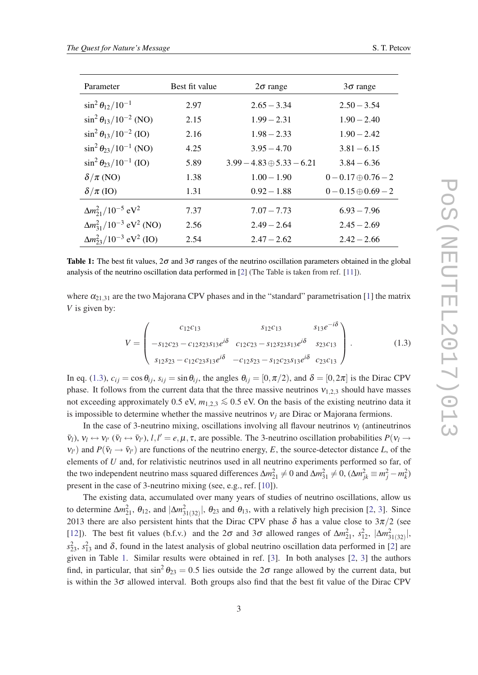<span id="page-2-0"></span>

| Parameter                                      | Best fit value | $2\sigma$ range                  | $3\sigma$ range            |
|------------------------------------------------|----------------|----------------------------------|----------------------------|
| $\sin^2 \theta_{12}/10^{-1}$                   | 2.97           | $2.65 - 3.34$                    | $2.50 - 3.54$              |
| $\sin^2 \theta_{13}/10^{-2}$ (NO)              | 2.15           | $1.99 - 2.31$                    | $1.90 - 2.40$              |
| $\sin^2 \theta_{13}/10^{-2}$ (IO)              | 2.16           | $1.98 - 2.33$                    | $1.90 - 2.42$              |
| $\sin^2 \theta_{23}/10^{-1}$ (NO)              | 4.25           | $3.95 - 4.70$                    | $3.81 - 6.15$              |
| $\sin^2 \theta_{23} / 10^{-1}$ (IO)            | 5.89           | $3.99 - 4.83 \oplus 5.33 - 6.21$ | $3.84 - 6.36$              |
| $\delta/\pi$ (NO)                              | 1.38           | $1.00 - 1.90$                    | $0 - 0.17 \oplus 0.76 - 2$ |
| $\delta/\pi$ (IO)                              | 1.31           | $0.92 - 1.88$                    | $0 - 0.15 \oplus 0.69 - 2$ |
| $\Delta m_{21}^2/10^{-5}$ eV <sup>2</sup>      | 7.37           | $7.07 - 7.73$                    | $6.93 - 7.96$              |
| $\Delta m_{31}^2/10^{-3}$ eV <sup>2</sup> (NO) | 2.56           | $2.49 - 2.64$                    | $2.45 - 2.69$              |
| $\Delta m_{23}^2/10^{-3}$ eV <sup>2</sup> (IO) | 2.54           | $2.47 - 2.62$                    | $2.42 - 2.66$              |

Table 1: The best fit values,  $2\sigma$  and  $3\sigma$  ranges of the neutrino oscillation parameters obtained in the global analysis of the neutrino oscillation data performed in [[2\]](#page-13-0) (The Table is taken from ref. [\[11](#page-14-0)]).

where  $\alpha_{21,31}$  are the two Majorana CPV phases and in the "standard" parametrisation [\[1\]](#page-13-0) the matrix *V* is given by:

$$
V = \begin{pmatrix} c_{12}c_{13} & s_{12}c_{13} & s_{13}e^{-i\delta} \\ -s_{12}c_{23} - c_{12}s_{23}s_{13}e^{i\delta} & c_{12}c_{23} - s_{12}s_{23}s_{13}e^{i\delta} & s_{23}c_{13} \\ s_{12}s_{23} - c_{12}c_{23}s_{13}e^{i\delta} & -c_{12}s_{23} - s_{12}c_{23}s_{13}e^{i\delta} & c_{23}c_{13} \end{pmatrix}.
$$
 (1.3)

In eq. (1.3),  $c_{ij} = \cos \theta_{ij}$ ,  $s_{ij} = \sin \theta_{ij}$ , the angles  $\theta_{ij} = [0, \pi/2)$ , and  $\delta = [0, 2\pi]$  is the Dirac CPV phase. It follows from the current data that the three massive neutrinos  $v_{1,2,3}$  should have masses not exceeding approximately 0.5 eV,  $m_{1,2,3} \le 0.5$  eV. On the basis of the existing neutrino data it is impossible to determine whether the massive neutrinos  $v_i$  are Dirac or Majorana fermions.

In the case of 3-neutrino mixing, oscillations involving all flavour neutrinos  $v_l$  (antineutrinos  $\bar{\mathbf{v}}_l$ ),  $\mathbf{v}_l \leftrightarrow \mathbf{v}_{l'}$  ( $\bar{\mathbf{v}}_l \leftrightarrow \bar{\mathbf{v}}_{l'}$ ),  $l, l' = e, \mu, \tau$ , are possible. The 3-neutrino oscillation probabilities  $P(\mathbf{v}_l \rightarrow \mathbf{v}_l)$  $v_{l'}$ ) and  $P(\bar{v}_l \rightarrow \bar{v}_{l'})$  are functions of the neutrino energy, *E*, the source-detector distance *L*, of the elements of *U* and, for relativistic neutrinos used in all neutrino experiments performed so far, of the two independent neutrino mass squared differences  $\Delta m_{21}^2 \neq 0$  and  $\Delta m_{31}^2 \neq 0$ ,  $(\Delta m_{jk}^2 \equiv m_j^2 - m_k^2)$ present in the case of 3-neutrino mixing (see, e.g., ref. [\[10](#page-14-0)]).

The existing data, accumulated over many years of studies of neutrino oscillations, allow us to determine  $\Delta m_{21}^2$  $\Delta m_{21}^2$  $\Delta m_{21}^2$ ,  $\theta_{12}$ , and  $|\Delta m_{31(32)}^2|$ ,  $\theta_{23}$  and  $\theta_{13}$ , with a relatively high precision [2, [3\]](#page-13-0). Since 2013 there are also persistent hints that the Dirac CPV phase  $\delta$  has a value close to  $3\pi/2$  (see [[12\]](#page-14-0)). The best fit values (b.f.v.) and the  $2\sigma$  and  $3\sigma$  allowed ranges of  $\Delta m_{21}^2$ ,  $s_{12}^2$ ,  $|\Delta m_{31(32)}^2|$ ,  $s_{23}^2$ ,  $s_{13}^2$  and  $\delta$ , found in the latest analysis of global neutrino oscillation data performed in [\[2\]](#page-13-0) are given in Table 1. Similar results were obtained in ref. [\[3\]](#page-13-0). In both analyses [\[2,](#page-13-0) [3\]](#page-13-0) the authors find, in particular, that  $\sin^2 \theta_{23} = 0.5$  lies outside the  $2\sigma$  range allowed by the current data, but is within the  $3\sigma$  allowed interval. Both groups also find that the best fit value of the Dirac CPV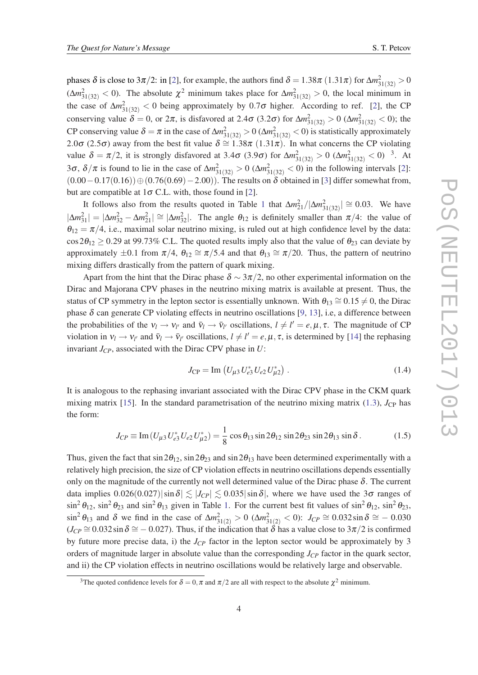<span id="page-3-0"></span>phases δ is close to 3π/[2](#page-13-0): in [2], for example, the authors find  $\delta = 1.38\pi\ (1.31\pi)$  for  $\Delta m^2_{31(32)} > 0$  $(\Delta m_{31(32)}^2 < 0)$ . The absolute  $\chi^2$  minimum takes place for  $\Delta m_{31(32)}^2 > 0$ , the local minimum in the case of  $\Delta m_{31(32)}^2 < 0$  being approximately by 0.7 $\sigma$  higher. According to ref. [\[2\]](#page-13-0), the CP conserving value  $\delta = 0$ , or  $2\pi$ , is disfavored at  $2.4\sigma$  (3.2 $\sigma$ ) for  $\Delta m^2_{31(32)} > 0$  ( $\Delta m^2_{31(32)} < 0$ ); the CP conserving value  $\delta = \pi$  in the case of  $\Delta m_{31(32)}^2 > 0$  ( $\Delta m_{31(32)}^2 < 0$ ) is statistically approximately 2.0σ (2.5σ) away from the best fit value  $\delta \approx 1.38\pi$  (1.31 $\pi$ ). In what concerns the CP violating value  $\delta = \pi/2$ , it is strongly disfavored at 3.4 $\sigma$  (3.9 $\sigma$ ) for  $\Delta m_{31(32)}^2 > 0$  ( $\Delta m_{31(32)}^2 < 0$ ) <sup>3</sup>. At 3 $\sigma$ ,  $\delta/\pi$  is found to lie in the case of  $\Delta m_{31(32)}^2 > 0$  $\Delta m_{31(32)}^2 > 0$  $\Delta m_{31(32)}^2 > 0$  ( $\Delta m_{31(32)}^2 < 0$ ) in the following intervals [2]:  $(0.00-0.17(0.16))\oplus(0.76(0.69)-2.00)$ . The results on  $\delta$  obtained in [[3](#page-13-0)] differ somewhat from, but are compatible at  $1\sigma$  C.L. with, those found in [\[2\]](#page-13-0).

It follows also from the results quoted in Table [1](#page-2-0) that  $\Delta m_{21}^2/|\Delta m_{31(32)}^2| \approx 0.03$ . We have  $|\Delta m_{31}^2| = |\Delta m_{32}^2 - \Delta m_{21}^2| \cong |\Delta m_{32}^2|$ . The angle  $\theta_{12}$  is definitely smaller than  $\pi/4$ : the value of  $\theta_{12} = \pi/4$ , i.e., maximal solar neutrino mixing, is ruled out at high confidence level by the data:  $\cos 2\theta_{12} \ge 0.29$  at 99.73% C.L. The quoted results imply also that the value of  $\theta_{23}$  can deviate by approximately  $\pm 0.1$  from  $\pi/4$ ,  $\theta_{12} \cong \pi/5.4$  and that  $\theta_{13} \cong \pi/20$ . Thus, the pattern of neutrino mixing differs drastically from the pattern of quark mixing.

Apart from the hint that the Dirac phase  $\delta \sim 3\pi/2$ , no other experimental information on the Dirac and Majorana CPV phases in the neutrino mixing matrix is available at present. Thus, the status of CP symmetry in the lepton sector is essentially unknown. With  $\theta_{13} \cong 0.15 \neq 0$ , the Dirac phase  $\delta$  can generate CP violating effects in neutrino oscillations [\[9](#page-14-0), [13\]](#page-14-0), i.e, a difference between the probabilities of the  $v_l \to v_{l'}$  and  $\bar{v}_l \to \bar{v}_{l'}$  oscillations,  $l \neq l' = e, \mu, \tau$ . The magnitude of CP violation in  $v_l \to v_{l'}$  and  $\bar{v}_l \to \bar{v}_{l'}$  oscillations,  $l \neq l' = e, \mu, \tau$ , is determined by [[14\]](#page-14-0) the rephasing invariant  $J_{CP}$ , associated with the Dirac CPV phase in  $U$ :

$$
J_{\rm CP} = \text{Im}\left(U_{\mu 3} U_{e3}^* U_{e2} U_{\mu 2}^*\right). \tag{1.4}
$$

It is analogous to the rephasing invariant associated with the Dirac CPV phase in the CKM quark mixing matrix [\[15](#page-14-0)]. In the standard parametrisation of the neutrino mixing matrix ([1.3](#page-2-0)),  $J_{\text{CP}}$  has the form:

$$
J_{CP} \equiv \text{Im}(U_{\mu 3} U_{e3}^* U_{e2} U_{\mu 2}^*) = \frac{1}{8} \cos \theta_{13} \sin 2\theta_{12} \sin 2\theta_{23} \sin 2\theta_{13} \sin \delta. \tag{1.5}
$$

Thus, given the fact that  $\sin 2\theta_{12}$ ,  $\sin 2\theta_{23}$  and  $\sin 2\theta_{13}$  have been determined experimentally with a relatively high precision, the size of CP violation effects in neutrino oscillations depends essentially only on the magnitude of the currently not well determined value of the Dirac phase  $\delta$ . The current data implies  $0.026(0.027) |\sin \delta| \lesssim |J_{CP}| \lesssim 0.035 |\sin \delta|$ , where we have used the 3 $\sigma$  ranges of  $\sin^2 \theta_{12}$  $\sin^2 \theta_{12}$  $\sin^2 \theta_{12}$ ,  $\sin^2 \theta_{23}$  and  $\sin^2 \theta_{13}$  given in Table 1. For the current best fit values of  $\sin^2 \theta_{12}$ ,  $\sin^2 \theta_{23}$ ,  $\sin^2 \theta_{13}$  and  $\delta$  we find in the case of  $\Delta m_{31(2)}^2 > 0$  ( $\Delta m_{31(2)}^2 < 0$ ):  $J_{CP} \cong 0.032 \sin \delta \cong -0.030$  $(J_{CP} \cong 0.032 \sin \delta \cong -0.027)$ . Thus, if the indication that  $\delta$  has a value close to  $3\pi/2$  is confirmed by future more precise data, i) the  $J_{CP}$  factor in the lepton sector would be approximately by 3 orders of magnitude larger in absolute value than the corresponding *JCP* factor in the quark sector, and ii) the CP violation effects in neutrino oscillations would be relatively large and observable.

<sup>&</sup>lt;sup>3</sup>The quoted confidence levels for  $\delta = 0, \pi$  and  $\pi/2$  are all with respect to the absolute  $\chi^2$  minimum.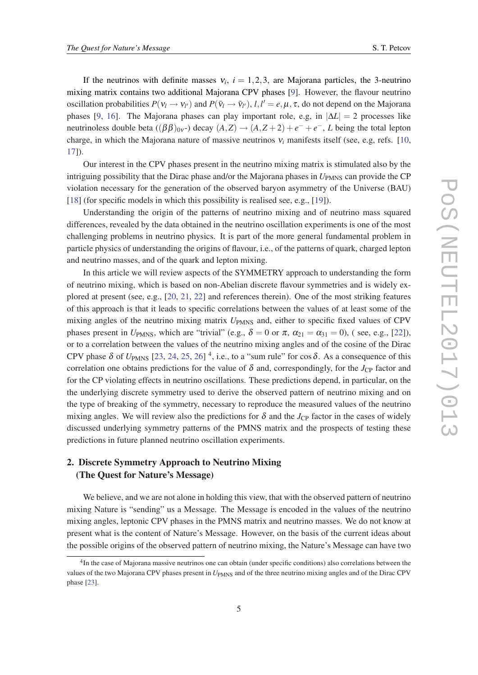If the neutrinos with definite masses  $v_i$ ,  $i = 1, 2, 3$ , are Majorana particles, the 3-neutrino mixing matrix contains two additional Majorana CPV phases [\[9\]](#page-14-0). However, the flavour neutrino oscillation probabilities  $P(v_l \to v_{l'})$  and  $P(\bar{v}_l \to \bar{v}_{l'})$ ,  $l, l' = e, \mu, \tau$ , do not depend on the Majorana phases [\[9,](#page-14-0) [16\]](#page-14-0). The Majorana phases can play important role, e.g, in  $|\Delta L| = 2$  processes like neutrinoless double beta  $((\beta \beta)_{0v})$  decay  $(A,Z) \rightarrow (A,Z+2) + e^- + e^-$ , *L* being the total lepton charge, in which the Majorana nature of massive neutrinos  $v_i$  manifests itself (see, e.g, refs. [\[10](#page-14-0), [17](#page-14-0)]).

Our interest in the CPV phases present in the neutrino mixing matrix is stimulated also by the intriguing possibility that the Dirac phase and/or the Majorana phases in  $U_{PMNS}$  can provide the CP violation necessary for the generation of the observed baryon asymmetry of the Universe (BAU) [[18\]](#page-14-0) (for specific models in which this possibility is realised see, e.g., [[19\]](#page-14-0)).

Understanding the origin of the patterns of neutrino mixing and of neutrino mass squared differences, revealed by the data obtained in the neutrino oscillation experiments is one of the most challenging problems in neutrino physics. It is part of the more general fundamental problem in particle physics of understanding the origins of flavour, i.e., of the patterns of quark, charged lepton and neutrino masses, and of the quark and lepton mixing.

In this article we will review aspects of the SYMMETRY approach to understanding the form of neutrino mixing, which is based on non-Abelian discrete flavour symmetries and is widely explored at present (see, e.g., [\[20](#page-14-0), [21,](#page-14-0) [22\]](#page-14-0) and references therein). One of the most striking features of this approach is that it leads to specific correlations between the values of at least some of the mixing angles of the neutrino mixing matrix  $U_{PMS}$  and, either to specific fixed values of CPV phases present in *U*<sub>PMNS</sub>, which are "trivial" (e.g.,  $\delta = 0$  or  $\pi$ ,  $\alpha_{21} = \alpha_{31} = 0$ ), (see, e.g., [\[22\]](#page-14-0)), or to a correlation between the values of the neutrino mixing angles and of the cosine of the Dirac CPV phase  $\delta$  of  $U_{\text{PMNS}}$  [\[23](#page-14-0), [24,](#page-14-0) [25](#page-14-0), [26\]](#page-14-0)<sup>4</sup>, i.e., to a "sum rule" for cos  $\delta$ . As a consequence of this correlation one obtains predictions for the value of  $\delta$  and, correspondingly, for the *J<sub>CP</sub>* factor and for the CP violating effects in neutrino oscillations. These predictions depend, in particular, on the the underlying discrete symmetry used to derive the observed pattern of neutrino mixing and on the type of breaking of the symmetry, necessary to reproduce the measured values of the neutrino mixing angles. We will review also the predictions for  $\delta$  and the *J*<sub>CP</sub> factor in the cases of widely discussed underlying symmetry patterns of the PMNS matrix and the prospects of testing these predictions in future planned neutrino oscillation experiments.

# 2. Discrete Symmetry Approach to Neutrino Mixing (The Quest for Nature's Message)

We believe, and we are not alone in holding this view, that with the observed pattern of neutrino mixing Nature is "sending" us a Message. The Message is encoded in the values of the neutrino mixing angles, leptonic CPV phases in the PMNS matrix and neutrino masses. We do not know at present what is the content of Nature's Message. However, on the basis of the current ideas about the possible origins of the observed pattern of neutrino mixing, the Nature's Message can have two

<sup>&</sup>lt;sup>4</sup>In the case of Majorana massive neutrinos one can obtain (under specific conditions) also correlations between the values of the two Majorana CPV phases present in  $U_{PMNS}$  and of the three neutrino mixing angles and of the Dirac CPV phase [[23\]](#page-14-0).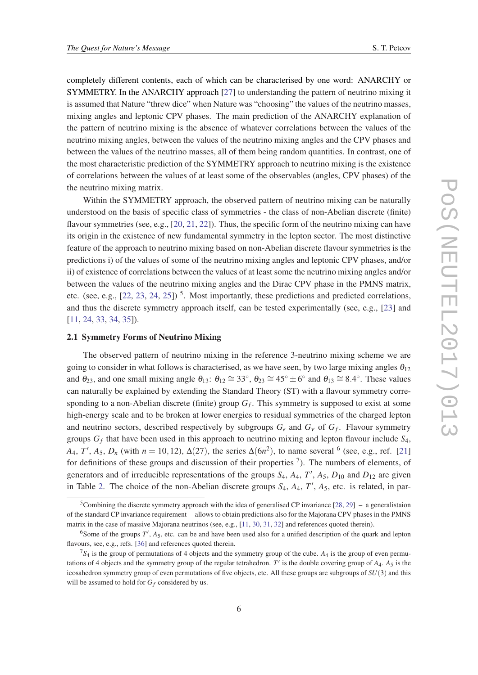completely different contents, each of which can be characterised by one word: ANARCHY or SYMMETRY. In the ANARCHY approach [\[27\]](#page-14-0) to understanding the pattern of neutrino mixing it is assumed that Nature "threw dice" when Nature was "choosing" the values of the neutrino masses, mixing angles and leptonic CPV phases. The main prediction of the ANARCHY explanation of the pattern of neutrino mixing is the absence of whatever correlations between the values of the neutrino mixing angles, between the values of the neutrino mixing angles and the CPV phases and between the values of the neutrino masses, all of them being random quantities. In contrast, one of the most characteristic prediction of the SYMMETRY approach to neutrino mixing is the existence of correlations between the values of at least some of the observables (angles, CPV phases) of the the neutrino mixing matrix.

Within the SYMMETRY approach, the observed pattern of neutrino mixing can be naturally understood on the basis of specific class of symmetries - the class of non-Abelian discrete (finite) flavour symmetries (see, e.g., [\[20](#page-14-0), [21](#page-14-0), [22](#page-14-0)]). Thus, the specific form of the neutrino mixing can have its origin in the existence of new fundamental symmetry in the lepton sector. The most distinctive feature of the approach to neutrino mixing based on non-Abelian discrete flavour symmetries is the predictions i) of the values of some of the neutrino mixing angles and leptonic CPV phases, and/or ii) of existence of correlations between the values of at least some the neutrino mixing angles and/or between the values of the neutrino mixing angles and the Dirac CPV phase in the PMNS matrix, etc. (see, e.g.,  $[22, 23, 24, 25]$  $[22, 23, 24, 25]$  $[22, 23, 24, 25]$  $[22, 23, 24, 25]$  $[22, 23, 24, 25]$  $[22, 23, 24, 25]$  $[22, 23, 24, 25]$ )<sup>5</sup>. Most importantly, these predictions and predicted correlations, and thus the discrete symmetry approach itself, can be tested experimentally (see, e.g., [\[23\]](#page-14-0) and [[11,](#page-14-0) [24](#page-14-0), [33,](#page-14-0) [34,](#page-14-0) [35](#page-14-0)]).

#### 2.1 Symmetry Forms of Neutrino Mixing

The observed pattern of neutrino mixing in the reference 3-neutrino mixing scheme we are going to consider in what follows is characterised, as we have seen, by two large mixing angles  $\theta_{12}$ and  $\theta_{23}$ , and one small mixing angle  $\theta_{13}$ :  $\theta_{12} \cong 33^\circ$ ,  $\theta_{23} \cong 45^\circ \pm 6^\circ$  and  $\theta_{13} \cong 8.4^\circ$ . These values can naturally be explained by extending the Standard Theory (ST) with a flavour symmetry corresponding to a non-Abelian discrete (finite) group *G<sup>f</sup>* . This symmetry is supposed to exist at some high-energy scale and to be broken at lower energies to residual symmetries of the charged lepton and neutrino sectors, described respectively by subgroups  $G_e$  and  $G_v$  of  $G_f$ . Flavour symmetry groups *G<sup>f</sup>* that have been used in this approach to neutrino mixing and lepton flavour include *S*4,  $A_4, T', A_5, D_n$  (with  $n = 10, 12$ ),  $\Delta(27)$ , the series  $\Delta(6n^2)$ , to name several <sup>6</sup> (see, e.g., ref. [\[21](#page-14-0)] for definitions of these groups and discussion of their properties  $\frac{7}{1}$ . The numbers of elements, of generators and of irreducible representations of the groups  $S_4$ ,  $A_4$ ,  $T'$ ,  $A_5$ ,  $D_{10}$  and  $D_{12}$  are given in Table [2](#page-6-0). The choice of the non-Abelian discrete groups  $S_4$ ,  $A_4$ ,  $T'$ ,  $A_5$ , etc. is related, in par-

<sup>&</sup>lt;sup>5</sup>Combining the discrete symmetry approach with the idea of generalised CP invariance [\[28](#page-14-0), [29\]](#page-14-0) – a generalistaion of the standard CP invariance requirement – allows to obtain predictions also for the Majorana CPV phases in the PMNS matrix in the case of massive Majorana neutrinos (see, e.g., [\[11](#page-14-0), [30,](#page-14-0) [31,](#page-14-0) [32](#page-14-0)] and references quoted therein).

<sup>&</sup>lt;sup>6</sup>Some of the groups  $T'$ ,  $A_5$ , etc. can be and have been used also for a unified description of the quark and lepton flavours, see, e.g., refs. [\[36](#page-15-0)] and references quoted therein.

<sup>7</sup>*S*<sup>4</sup> is the group of permutations of 4 objects and the symmetry group of the cube. *A*<sup>4</sup> is the group of even permutations of 4 objects and the symmetry group of the regular tetrahedron.  $T'$  is the double covering group of  $A_4$ .  $A_5$  is the icosahedron symmetry group of even permutations of five objects, etc. All these groups are subgroups of *SU*(3) and this will be assumed to hold for  $G_f$  considered by us.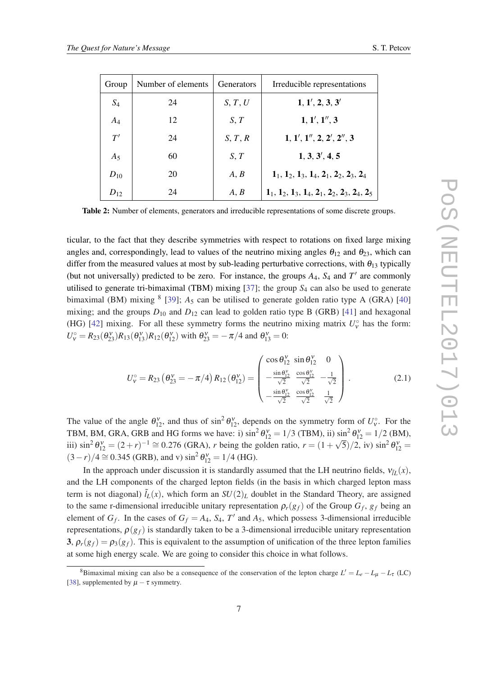<span id="page-6-0"></span>

| Group    | Number of elements | <b>Generators</b> | Irreducible representations                                           |
|----------|--------------------|-------------------|-----------------------------------------------------------------------|
| $S_4$    | 24                 | S, T, U           | 1, 1', 2, 3, 3'                                                       |
| $A_4$    | 12                 | $S$ , $T$         | 1, 1', 1'', 3                                                         |
| T'       | 24                 | S, T, R           | 1, 1', 1'', 2, 2', 2'', 3                                             |
| $A_5$    | 60                 | S, T              | 1, 3, 3', 4, 5                                                        |
| $D_{10}$ | 20                 | A, B              | $1_1$ , $1_2$ , $1_3$ , $1_4$ , $2_1$ , $2_2$ , $2_3$ , $2_4$         |
| $D_{12}$ | 24                 | A, B              | $1_1$ , $1_2$ , $1_3$ , $1_4$ , $2_1$ , $2_2$ , $2_3$ , $2_4$ , $2_5$ |

Table 2: Number of elements, generators and irreducible representations of some discrete groups.

ticular, to the fact that they describe symmetries with respect to rotations on fixed large mixing angles and, correspondingly, lead to values of the neutrino mixing angles  $\theta_{12}$  and  $\theta_{23}$ , which can differ from the measured values at most by sub-leading perturbative corrections, with  $\theta_{13}$  typically (but not universally) predicted to be zero. For instance, the groups  $A_4$ ,  $S_4$  and  $T'$  are commonly utilised to generate tri-bimaximal (TBM) mixing [[37](#page-15-0)]; the group *S*<sup>4</sup> can also be used to generate bimaximal (BM) mixing  $8$  [[39\]](#page-15-0);  $A_5$  can be utilised to generate golden ratio type A (GRA) [\[40](#page-15-0)] mixing; and the groups  $D_{10}$  and  $D_{12}$  can lead to golden ratio type B (GRB) [[41\]](#page-15-0) and hexagonal (HG) [[42\]](#page-15-0) mixing. For all these symmetry forms the neutrino mixing matrix  $U_{\nu}^{\circ}$  has the form:  $U_v^{\circ} = R_{23}(\theta_{23}^{\}})R_{13}(\theta_{13}^{\}})R_{12}(\theta_{12}^{\}})$  with  $\theta_{23}^{\}} = -\pi/4$  and  $\theta_{13}^{\}} = 0$ :

$$
U_{\nu}^{\circ} = R_{23} \left( \theta_{23}^{\nu} = -\pi/4 \right) R_{12} \left( \theta_{12}^{\nu} \right) = \begin{pmatrix} \cos \theta_{12}^{\nu} & \sin \theta_{12}^{\nu} & 0 \\ -\frac{\sin \theta_{12}^{\nu}}{\sqrt{2}} & \frac{\cos \theta_{12}^{\nu}}{\sqrt{2}} & -\frac{1}{\sqrt{2}} \\ -\frac{\sin \theta_{12}^{\nu}}{\sqrt{2}} & \frac{\cos \theta_{12}^{\nu}}{\sqrt{2}} & \frac{1}{\sqrt{2}} \end{pmatrix} . \tag{2.1}
$$

The value of the angle  $\theta_{12}^{\gamma}$ , and thus of  $\sin^2 \theta_{12}^{\gamma}$ , depends on the symmetry form of  $U_{\gamma}^{\circ}$ . For the TBM, BM, GRA, GRB and HG forms we have: i)  $\sin^2 \theta_{12}^{\nu} = 1/3$  (TBM), ii)  $\sin^2 \theta_{12}^{\nu} = 1/2$  (BM), iii)  $\sin^2 \theta_{12}^v = (2 + r)^{-1} \approx 0.276$  (GRA), *r* being the golden ratio,  $r = (1 + \sqrt{5})/2$ , iv)  $\sin^2 \theta_{12}^v =$  $(3-r)/4 \approx 0.345$  (GRB), and v)  $\sin^2 \theta_{12}^{\text{V}} = 1/4$  (HG).

In the approach under discussion it is standardly assumed that the LH neutrino fields,  $v_{\tilde{I}L}(x)$ , and the LH components of the charged lepton fields (in the basis in which charged lepton mass term is not diagonal)  $\tilde{l}_L(x)$ , which form an  $SU(2)_L$  doublet in the Standard Theory, are assigned to the same r-dimensional irreducible unitary representation  $\rho_r(g_f)$  of the Group  $G_f$ ,  $g_f$  being an element of  $G_f$ . In the cases of  $G_f = A_4$ ,  $S_4$ ,  $T'$  and  $A_5$ , which possess 3-dimensional irreducible representations,  $\rho(g_f)$  is standardly taken to be a 3-dimensional irreducible unitary representation 3,  $\rho_r(g_f) = \rho_3(g_f)$ . This is equivalent to the assumption of unification of the three lepton families at some high energy scale. We are going to consider this choice in what follows.

<sup>8</sup>Bimaximal mixing can also be a consequence of the conservation of the lepton charge  $L' = L_e - L_\mu - L_\tau$  (LC) [\[38](#page-15-0)], supplemented by  $\mu - \tau$  symmetry.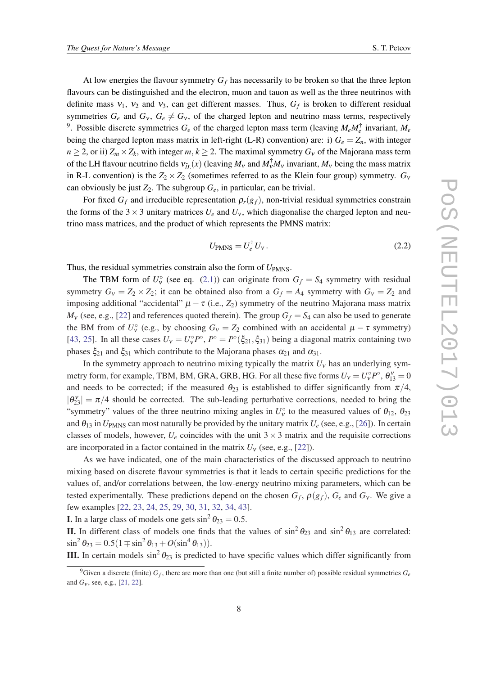At low energies the flavour symmetry  $G_f$  has necessarily to be broken so that the three lepton flavours can be distinguished and the electron, muon and tauon as well as the three neutrinos with definite mass  $v_1$ ,  $v_2$  and  $v_3$ , can get different masses. Thus,  $G_f$  is broken to different residual symmetries  $G_e$  and  $G_v$ ,  $G_e \neq G_v$ , of the charged lepton and neutrino mass terms, respectively <sup>9</sup>. Possible discrete symmetries  $G_e$  of the charged lepton mass term (leaving  $M_e M_e^{\dagger}$  invariant,  $M_e$ being the charged lepton mass matrix in left-right (L-R) convention) are: i)  $G_e = Z_n$ , with integer  $n \geq 2$ , or ii)  $Z_m \times Z_k$ , with integer *m*,  $k \geq 2$ . The maximal symmetry  $G_v$  of the Majorana mass term of the LH flavour neutrino fields  $v_{\tilde{L}}(x)$  (leaving  $M_v$  and  $M_v^{\dagger}M_v$  invariant,  $M_v$  being the mass matrix in R-L convention) is the  $Z_2 \times Z_2$  (sometimes referred to as the Klein four group) symmetry.  $G_v$ can obviously be just  $Z_2$ . The subgroup  $G_e$ , in particular, can be trivial.

For fixed  $G_f$  and irreducible representation  $\rho_r(g_f)$ , non-trivial residual symmetries constrain the forms of the  $3 \times 3$  unitary matrices  $U_e$  and  $U_v$ , which diagonalise the charged lepton and neutrino mass matrices, and the product of which represents the PMNS matrix:

$$
U_{\text{PMNS}} = U_e^{\dagger} U_v. \tag{2.2}
$$

Thus, the residual symmetries constrain also the form of  $U_{PMNS}$ .

The TBM form of  $U_{\mathbf{v}}^{\circ}$  (see eq. ([2.1](#page-6-0))) can originate from  $G_f = S_4$  symmetry with residual symmetry  $G_v = Z_2 \times Z_2$ ; it can be obtained also from a  $G_f = A_4$  symmetry with  $G_v = Z_2$  and imposing additional "accidental"  $\mu - \tau$  (i.e.,  $Z_2$ ) symmetry of the neutrino Majorana mass matrix  $M_v$  (see, e.g., [[22\]](#page-14-0) and references quoted therein). The group  $G_f = S_4$  can also be used to generate the BM from of  $U_v^{\circ}$  (e.g., by choosing  $G_v = Z_2$  combined with an accidental  $\mu - \tau$  symmetry) [[43,](#page-15-0) [25\]](#page-14-0). In all these cases  $U_v = U_v^{\circ} P^{\circ}$ ,  $P^{\circ} = P^{\circ}(\xi_{21}, \xi_{31})$  being a diagonal matrix containing two phases  $\xi_{21}$  and  $\xi_{31}$  which contribute to the Majorana phases  $\alpha_{21}$  and  $\alpha_{31}$ .

In the symmetry approach to neutrino mixing typically the matrix  $U<sub>v</sub>$  has an underlying symmetry form, for example, TBM, BM, GRA, GRB, HG. For all these five forms  $U_v = U_v^{\circ} P^{\circ}$ ,  $\theta_{13}^v = 0$ and needs to be corrected; if the measured  $\theta_{23}$  is established to differ significantly from  $\pi/4$ ,  $|\theta_{23}^{\text{v}}| = \pi/4$  should be corrected. The sub-leading perturbative corrections, needed to bring the "symmetry" values of the three neutrino mixing angles in  $U_v^{\circ}$  to the measured values of  $\theta_{12}$ ,  $\theta_{23}$ and  $\theta_{13}$  in  $U_{PMNS}$  can most naturally be provided by the unitary matrix  $U_e$  (see, e.g., [[26\]](#page-14-0)). In certain classes of models, however,  $U_e$  coincides with the unit  $3 \times 3$  matrix and the requisite corrections are incorporated in a factor contained in the matrix  $U_v$  (see, e.g., [[22\]](#page-14-0)).

As we have indicated, one of the main characteristics of the discussed approach to neutrino mixing based on discrete flavour symmetries is that it leads to certain specific predictions for the values of, and/or correlations between, the low-energy neutrino mixing parameters, which can be tested experimentally. These predictions depend on the chosen  $G_f$ ,  $\rho(g_f)$ ,  $G_e$  and  $G_v$ . We give a few examples [[22](#page-14-0), [23,](#page-14-0) [24](#page-14-0), [25,](#page-14-0) [29,](#page-14-0) [30](#page-14-0), [31,](#page-14-0) [32,](#page-14-0) [34](#page-14-0), [43\]](#page-15-0).

**I.** In a large class of models one gets  $\sin^2 \theta_{23} = 0.5$ .

**II.** In different class of models one finds that the values of  $\sin^2 \theta_{23}$  and  $\sin^2 \theta_{13}$  are correlated:  $\sin^2 \theta_{23} = 0.5(1 \mp \sin^2 \theta_{13} + O(\sin^4 \theta_{13})).$ 

**III.** In certain models  $\sin^2 \theta_{23}$  is predicted to have specific values which differ significantly from

<sup>&</sup>lt;sup>9</sup>Given a discrete (finite)  $G_f$ , there are more than one (but still a finite number of) possible residual symmetries  $G_e$ and *G<sub>v</sub>*, see, e.g., [[21,](#page-14-0) [22\]](#page-14-0).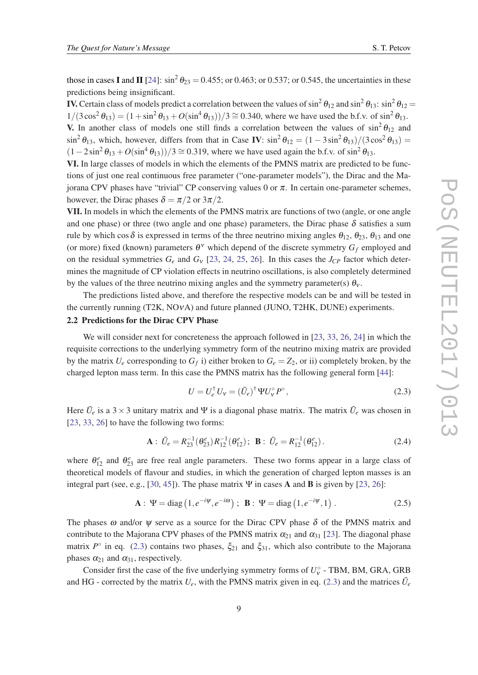<span id="page-8-0"></span>those in cases I and II [\[24](#page-14-0)]:  $\sin^2 \theta_{23} = 0.455$ ; or 0.463; or 0.537; or 0.545, the uncertainties in these predictions being insignificant.

**IV.** Certain class of models predict a correlation between the values of  $\sin^2\theta_{12}$  and  $\sin^2\theta_{13}$ :  $\sin^2\theta_{12}$  =  $1/(3\cos^2{\theta_{13}}) = (1 + \sin^2{\theta_{13}} + O(\sin^4{\theta_{13}}))/3 \approx 0.340$ , where we have used the b.f.v. of  $\sin^2{\theta_{13}}$ . **V.** In another class of models one still finds a correlation between the values of  $\sin^2 \theta_{12}$  and  $\sin^2 \theta_{13}$ , which, however, differs from that in Case IV:  $\sin^2 \theta_{12} = (1 - 3\sin^2 \theta_{13})/(3\cos^2 \theta_{13}) =$  $(1-2\sin^2\theta_{13}+O(\sin^4\theta_{13}))/3 \approx 0.319$ , where we have used again the b.f.v. of sin<sup>2</sup>  $\theta_{13}$ .

VI. In large classes of models in which the elements of the PMNS matrix are predicted to be functions of just one real continuous free parameter ("one-parameter models"), the Dirac and the Majorana CPV phases have "trivial" CP conserving values 0 or π. In certain one-parameter schemes, however, the Dirac phases  $\delta = \pi/2$  or  $3\pi/2$ .

VII. In models in which the elements of the PMNS matrix are functions of two (angle, or one angle and one phase) or three (two angle and one phase) parameters, the Dirac phase  $\delta$  satisfies a sum rule by which cos  $\delta$  is expressed in terms of the three neutrino mixing angles  $\theta_{12}$ ,  $\theta_{23}$ ,  $\theta_{13}$  and one (or more) fixed (known) parameters  $\theta^{\nu}$  which depend of the discrete symmetry  $G_f$  employed and on the residual symmetries  $G_e$  and  $G_v$  [[23,](#page-14-0) [24,](#page-14-0) [25,](#page-14-0) [26\]](#page-14-0). In this cases the  $J_{CP}$  factor which determines the magnitude of CP violation effects in neutrino oscillations, is also completely determined by the values of the three neutrino mixing angles and the symmetry parameter(s)  $\theta_v$ .

The predictions listed above, and therefore the respective models can be and will be tested in the currently running (T2K, NOνA) and future planned (JUNO, T2HK, DUNE) experiments.

## 2.2 Predictions for the Dirac CPV Phase

We will consider next for concreteness the approach followed in [\[23,](#page-14-0) [33](#page-14-0), [26,](#page-14-0) [24](#page-14-0)] in which the requisite corrections to the underlying symmetry form of the neutrino mixing matrix are provided by the matrix  $U_e$  corresponding to  $G_f$  i) either broken to  $G_e = Z_2$ , or ii) completely broken, by the charged lepton mass term. In this case the PMNS matrix has the following general form [\[44](#page-15-0)]:

$$
U = U_e^{\dagger} U_v = (\tilde{U}_e)^{\dagger} \Psi U_v^{\circ} P^{\circ}, \qquad (2.3)
$$

Here  $\tilde{U}_e$  is a 3  $\times$  3 unitary matrix and  $\Psi$  is a diagonal phase matrix. The matrix  $\tilde{U}_e$  was chosen in [[23,](#page-14-0) [33](#page-14-0), [26\]](#page-14-0) to have the following two forms:

$$
\mathbf{A}: \tilde{U}_e = R_{23}^{-1}(\theta_{23}^e) R_{12}^{-1}(\theta_{12}^e); \quad \mathbf{B}: \tilde{U}_e = R_{12}^{-1}(\theta_{12}^e).
$$
 (2.4)

where  $\theta_{12}^e$  and  $\theta_{23}^e$  are free real angle parameters. These two forms appear in a large class of theoretical models of flavour and studies, in which the generation of charged lepton masses is an integral part (see, e.g., [[30,](#page-14-0) [45](#page-15-0)]). The phase matrix  $\Psi$  in cases **A** and **B** is given by [\[23](#page-14-0), [26](#page-14-0)]:

**A**: 
$$
\Psi = \text{diag}(1, e^{-i\Psi}, e^{-i\omega})
$$
; **B**:  $\Psi = \text{diag}(1, e^{-i\Psi}, 1)$ . (2.5)

The phases  $\omega$  and/or  $\psi$  serve as a source for the Dirac CPV phase  $\delta$  of the PMNS matrix and contribute to the Majorana CPV phases of the PMNS matrix  $\alpha_{21}$  and  $\alpha_{31}$  [[23\]](#page-14-0). The diagonal phase matrix  $P^{\circ}$  in eq. (2.3) contains two phases,  $\xi_{21}$  and  $\xi_{31}$ , which also contribute to the Majorana phases  $\alpha_{21}$  and  $\alpha_{31}$ , respectively.

Consider first the case of the five underlying symmetry forms of  $U_v^{\circ}$  - TBM, BM, GRA, GRB and HG - corrected by the matrix  $U_e$ , with the PMNS matrix given in eq. (2.3) and the matrices  $\tilde{U}_e$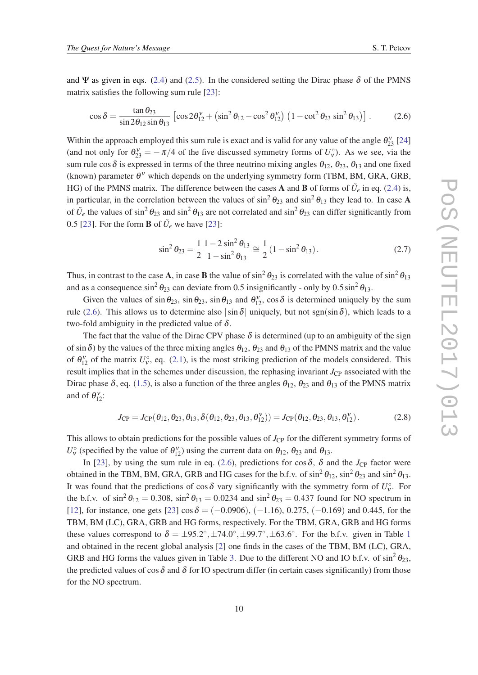<span id="page-9-0"></span>and Ψ as given in eqs. [\(2.4\)](#page-8-0) and [\(2.5](#page-8-0)). In the considered setting the Dirac phase  $\delta$  of the PMNS matrix satisfies the following sum rule [[23\]](#page-14-0):

$$
\cos \delta = \frac{\tan \theta_{23}}{\sin 2\theta_{12} \sin \theta_{13}} \left[ \cos 2\theta_{12}^{\nu} + \left( \sin^2 \theta_{12} - \cos^2 \theta_{12}^{\nu} \right) \left( 1 - \cot^2 \theta_{23} \sin^2 \theta_{13} \right) \right].
$$
 (2.6)

Within the approach employed this sum rule is exact and is valid for any value of the angle  $\theta_{23}^{\gamma}$  [\[24](#page-14-0)] (and not only for  $\theta_{23}^{\nu} = -\pi/4$  of the five discussed symmetry forms of  $U_{\nu}^{\circ}$ ). As we see, via the sum rule cos  $\delta$  is expressed in terms of the three neutrino mixing angles  $\theta_{12}$ ,  $\theta_{23}$ ,  $\theta_{13}$  and one fixed (known) parameter  $\theta^{\nu}$  which depends on the underlying symmetry form (TBM, BM, GRA, GRB, HG) of the PMNS matrix. The difference between the cases **A** and **B** of forms of  $\tilde{U}_e$  in eq. ([2.4\)](#page-8-0) is, in particular, in the correlation between the values of  $\sin^2 \theta_{23}$  and  $\sin^2 \theta_{13}$  they lead to. In case A of  $\tilde{U}_e$  the values of sin<sup>2</sup>  $\theta_{23}$  and sin<sup>2</sup>  $\theta_{13}$  are not correlated and sin<sup>2</sup>  $\theta_{23}$  can differ significantly from 0.5 [\[23](#page-14-0)]. For the form **B** of  $\tilde{U}_e$  we have [23]:

$$
\sin^2 \theta_{23} = \frac{1}{2} \frac{1 - 2 \sin^2 \theta_{13}}{1 - \sin^2 \theta_{13}} \approx \frac{1}{2} (1 - \sin^2 \theta_{13}).
$$
 (2.7)

Thus, in contrast to the case **A**, in case **B** the value of  $\sin^2 \theta_{23}$  is correlated with the value of  $\sin^2 \theta_{13}$ and as a consequence  $\sin^2 \theta_{23}$  can deviate from 0.5 insignificantly - only by 0.5  $\sin^2 \theta_{13}$ .

Given the values of  $\sin \theta_{23}$ ,  $\sin \theta_{23}$ ,  $\sin \theta_{13}$  and  $\theta_{12}^{\nu}$ ,  $\cos \delta$  is determined uniquely by the sum rule (2.6). This allows us to determine also  $|\sin \delta|$  uniquely, but not sgn(sin  $\delta$ ), which leads to a two-fold ambiguity in the predicted value of  $\delta$ .

The fact that the value of the Dirac CPV phase  $\delta$  is determined (up to an ambiguity of the sign of sin  $\delta$ ) by the values of the three mixing angles  $\theta_{12}$ ,  $\theta_{23}$  and  $\theta_{13}$  of the PMNS matrix and the value of  $\theta_{12}^{\nu}$  of the matrix  $U_{\nu}^{\circ}$ , eq. ([2.1](#page-6-0)), is the most striking prediction of the models considered. This result implies that in the schemes under discussion, the rephasing invariant  $J_{\rm CP}$  associated with the Dirac phase  $\delta$ , eq. ([1.5](#page-3-0)), is also a function of the three angles  $\theta_{12}$ ,  $\theta_{23}$  and  $\theta_{13}$  of the PMNS matrix and of  $\theta_{12}^{\nu}$ :

$$
J_{\rm CP} = J_{\rm CP}(\theta_{12}, \theta_{23}, \theta_{13}, \delta(\theta_{12}, \theta_{23}, \theta_{13}, \theta_{12}^{\nu})) = J_{\rm CP}(\theta_{12}, \theta_{23}, \theta_{13}, \theta_{12}^{\nu}). \tag{2.8}
$$

This allows to obtain predictions for the possible values of *J*<sub>CP</sub> for the different symmetry forms of  $U_v^{\circ}$  (specified by the value of  $\theta_{12}^{\nu}$ ) using the current data on  $\theta_{12}$ ,  $\theta_{23}$  and  $\theta_{13}$ .

In [\[23\]](#page-14-0), by using the sum rule in eq. (2.6), predictions for cos  $\delta$ ,  $\delta$  and the *J*<sub>CP</sub> factor were obtained in the TBM, BM, GRA, GRB and HG cases for the b.f.v. of  $\sin^2 \theta_{12}$ ,  $\sin^2 \theta_{23}$  and  $\sin^2 \theta_{13}$ . It was found that the predictions of cos  $\delta$  vary significantly with the symmetry form of  $U_v^{\circ}$ . For the b.f.v. of  $\sin^2 \theta_{12} = 0.308$ ,  $\sin^2 \theta_{13} = 0.0234$  and  $\sin^2 \theta_{23} = 0.437$  found for NO spectrum in [[12\]](#page-14-0), for instance, one gets [\[23](#page-14-0)] cos  $\delta = (-0.0906)$ , (-1.16), 0.275, (-0.169) and 0.445, for the TBM, BM (LC), GRA, GRB and HG forms, respectively. For the TBM, GRA, GRB and HG forms these values correspond to  $\delta = \pm 95.2^{\circ}, \pm 74.0^{\circ}, \pm 99.7^{\circ}, \pm 63.6^{\circ}$ . For the b.f.v. given in Table [1](#page-2-0) and obtained in the recent global analysis [\[2\]](#page-13-0) one finds in the cases of the TBM, BM (LC), GRA, GRB and HG forms the values given in Table [3.](#page-10-0) Due to the different NO and IO b.f.v. of  $\sin^2 \theta_{23}$ , the predicted values of cos  $\delta$  and  $\delta$  for IO spectrum differ (in certain cases significantly) from those for the NO spectrum.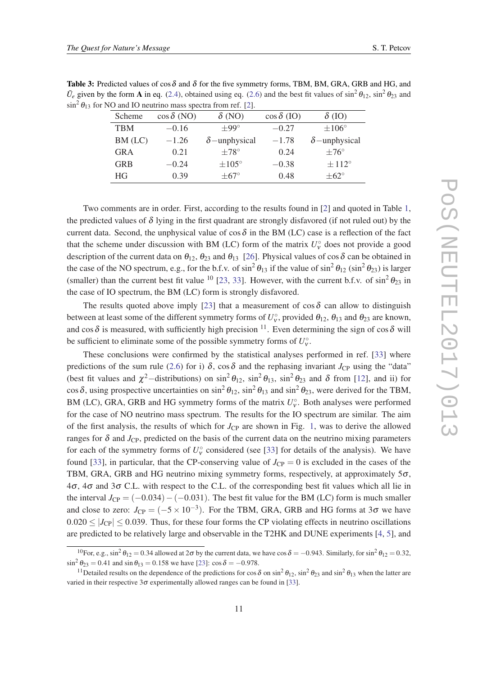<span id="page-10-0"></span>Table 3: Predicted values of  $\cos \delta$  and  $\delta$  for the five symmetry forms, TBM, BM, GRA, GRB and HG, and  $\tilde{U}_e$  given by the form **A** in eq. [\(2.4\)](#page-8-0), obtained using eq. ([2.6](#page-9-0)) and the best fit values of sin<sup>2</sup>  $\theta_{12}$ , sin<sup>2</sup>  $\theta_{23}$  and  $\sin^2 \theta_{13}$  for NO and IO neutrino mass spectra from ref. [\[2](#page-13-0)].

| Scheme     | $\cos \delta$ (NO) | $\delta$ (NO)        | $\cos \delta$ (IO) | $\delta$ (IO)        |
|------------|--------------------|----------------------|--------------------|----------------------|
| <b>TBM</b> | $-0.16$            | $+99^\circ$          | $-0.27$            | $\pm 106^\circ$      |
| BM (LC)    | $-1.26$            | $\delta$ -unphysical | $-1.78$            | $\delta$ -unphysical |
| <b>GRA</b> | 0.21               | $\pm78^\circ$        | 0.24               | $\pm 76^\circ$       |
| <b>GRB</b> | $-0.24$            | $\pm 105^\circ$      | $-0.38$            | $\pm 112^{\circ}$    |
| HG.        | 0.39               | $\pm 67^\circ$       | 0.48               | $\pm 62^{\circ}$     |

Two comments are in order. First, according to the results found in [[2](#page-13-0)] and quoted in Table [1](#page-2-0), the predicted values of  $\delta$  lying in the first quadrant are strongly disfavored (if not ruled out) by the current data. Second, the unphysical value of cos  $\delta$  in the BM (LC) case is a reflection of the fact that the scheme under discussion with BM (LC) form of the matrix  $U_{\nu}^{\circ}$  does not provide a good description of the current data on  $\theta_{12}$ ,  $\theta_{23}$  and  $\theta_{13}$  [\[26](#page-14-0)]. Physical values of cos  $\delta$  can be obtained in the case of the NO spectrum, e.g., for the b.f.v. of  $\sin^2\theta_{13}$  if the value of  $\sin^2\theta_{12}$   $(\sin^2\theta_{23})$  is larger (smaller) than the current best fit value <sup>10</sup> [[23,](#page-14-0) [33\]](#page-14-0). However, with the current b.f.v. of  $\sin^2 \theta_{23}$  in the case of IO spectrum, the BM (LC) form is strongly disfavored.

The results quoted above imply [\[23](#page-14-0)] that a measurement of  $\cos \delta$  can allow to distinguish between at least some of the different symmetry forms of  $U_v^{\circ}$ , provided  $\theta_{12}$ ,  $\theta_{13}$  and  $\theta_{23}$  are known, and cos  $\delta$  is measured, with sufficiently high precision <sup>11</sup>. Even determining the sign of cos  $\delta$  will be sufficient to eliminate some of the possible symmetry forms of  $U_v^{\circ}$ .

These conclusions were confirmed by the statistical analyses performed in ref. [[33\]](#page-14-0) where predictions of the sum rule ([2.6\)](#page-9-0) for i)  $\delta$ , cos  $\delta$  and the rephasing invariant *J*<sub>CP</sub> using the "data" (best fit values and  $\chi^2$ -distributions) on  $\sin^2\theta_{12}$ ,  $\sin^2\theta_{13}$ ,  $\sin^2\theta_{23}$  and  $\delta$  from [\[12](#page-14-0)], and ii) for cos  $\delta$ , using prospective uncertainties on  $\sin^2\theta_{12}$ ,  $\sin^2\theta_{13}$  and  $\sin^2\theta_{23}$ , were derived for the TBM, BM (LC), GRA, GRB and HG symmetry forms of the matrix  $U_{\nu}^{\circ}$ . Both analyses were performed for the case of NO neutrino mass spectrum. The results for the IO spectrum are similar. The aim of the first analysis, the results of which for  $J_{CP}$  are shown in Fig. [1](#page-11-0), was to derive the allowed ranges for  $\delta$  and  $J_{\rm CP}$ , predicted on the basis of the current data on the neutrino mixing parameters for each of the symmetry forms of  $U_v^{\circ}$  considered (see [[33\]](#page-14-0) for details of the analysis). We have found [[33\]](#page-14-0), in particular, that the CP-conserving value of  $J_{\rm CP} = 0$  is excluded in the cases of the TBM, GRA, GRB and HG neutrino mixing symmetry forms, respectively, at approximately  $5\sigma$ ,  $4\sigma$ ,  $4\sigma$  and  $3\sigma$  C.L. with respect to the C.L. of the corresponding best fit values which all lie in the interval  $J_{CP} = (-0.034) - (-0.031)$ . The best fit value for the BM (LC) form is much smaller and close to zero:  $J_{\rm CP} = (-5 \times 10^{-3})$ . For the TBM, GRA, GRB and HG forms at 3 $\sigma$  we have  $0.020 \leq |J_{CP}| \leq 0.039$ . Thus, for these four forms the CP violating effects in neutrino oscillations are predicted to be relatively large and observable in the T2HK and DUNE experiments [[4](#page-13-0), [5](#page-13-0)], and

<sup>&</sup>lt;sup>10</sup>For, e.g., sin<sup>2</sup>  $\theta_{12} = 0.34$  allowed at 2 $\sigma$  by the current data, we have cos  $\delta = -0.943$ . Similarly, for sin<sup>2</sup>  $\theta_{12} = 0.32$ ,  $\sin^2 \theta_{23} = 0.41$  and  $\sin \theta_{13} = 0.158$  we have [[23\]](#page-14-0):  $\cos \delta = -0.978$ .

<sup>&</sup>lt;sup>11</sup>Detailed results on the dependence of the predictions for cos  $\delta$  on sin<sup>2</sup>  $\theta_{12}$ , sin<sup>2</sup>  $\theta_{23}$  and sin<sup>2</sup>  $\theta_{13}$  when the latter are varied in their respective  $3\sigma$  experimentally allowed ranges can be found in [[33\]](#page-14-0).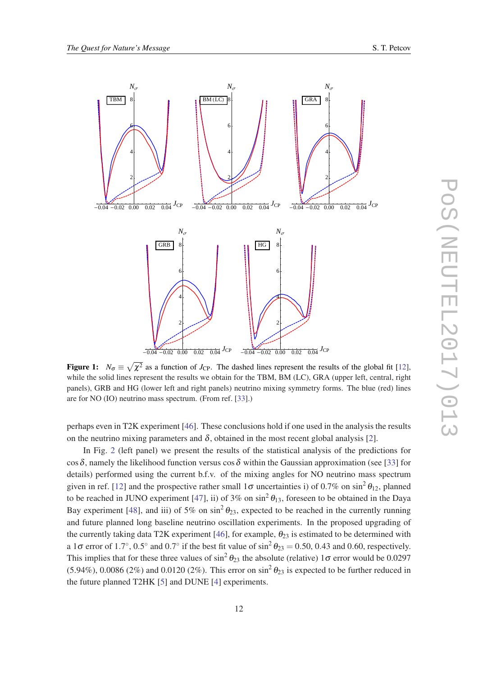<span id="page-11-0"></span>

Figure 1:  $N_{\sigma} \equiv \sqrt{\chi^2}$  as a function of *J*<sub>CP</sub>. The dashed lines represent the results of the global fit [\[12](#page-14-0)], while the solid lines represent the results we obtain for the TBM, BM (LC), GRA (upper left, central, right panels), GRB and HG (lower left and right panels) neutrino mixing symmetry forms. The blue (red) lines are for NO (IO) neutrino mass spectrum. (From ref. [[33\]](#page-14-0).)

perhaps even in T2K experiment [\[46\]](#page-15-0). These conclusions hold if one used in the analysis the results on the neutrino mixing parameters and  $\delta$ , obtained in the most recent global analysis [\[2\]](#page-13-0).

In Fig. [2](#page-12-0) (left panel) we present the results of the statistical analysis of the predictions for cos  $\delta$ , namely the likelihood function versus cos  $\delta$  within the Gaussian approximation (see [\[33\]](#page-14-0) for details) performed using the current b.f.v. of the mixing angles for NO neutrino mass spectrum given in ref. [[12\]](#page-14-0) and the prospective rather small  $1\sigma$  uncertainties i) of 0.7% on sin<sup>2</sup>  $\theta_{12}$ , planned to be reached in JUNO experiment [\[47](#page-15-0)], ii) of 3% on  $\sin^2 \theta_{13}$ , foreseen to be obtained in the Daya Bay experiment [\[48](#page-15-0)], and iii) of 5% on  $\sin^2 \theta_{23}$ , expected to be reached in the currently running and future planned long baseline neutrino oscillation experiments. In the proposed upgrading of the currently taking data T2K experiment [\[46](#page-15-0)], for example,  $\theta_{23}$  is estimated to be determined with a 1 $\sigma$  error of 1.7°, 0.5° and 0.7° if the best fit value of  $\sin^2 \theta_{23} = 0.50$ , 0.43 and 0.60, respectively. This implies that for these three values of  $\sin^2 \theta_{23}$  the absolute (relative) 1 $\sigma$  error would be 0.0297 (5.94%), 0.0086 (2%) and 0.0120 (2%). This error on  $\sin^2 \theta_{23}$  is expected to be further reduced in the future planned T2HK [[5](#page-13-0)] and DUNE [[4](#page-13-0)] experiments.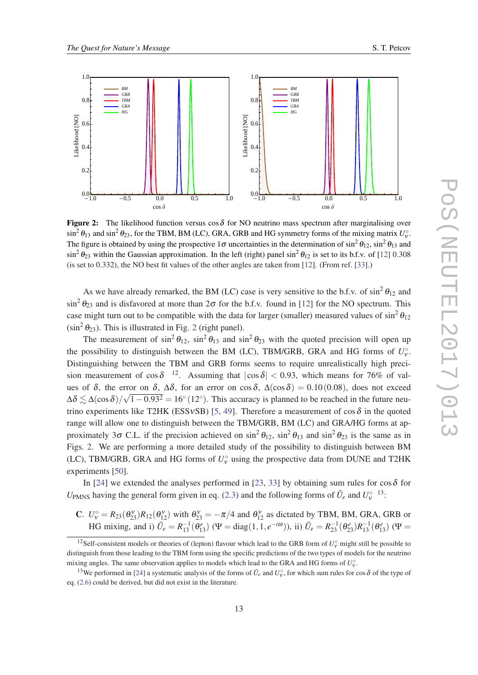<span id="page-12-0"></span>

**Figure 2:** The likelihood function versus cos  $\delta$  for NO neutrino mass spectrum after marginalising over  $\sin^2 \theta_{13}$  and  $\sin^2 \theta_{23}$ , for the TBM, BM (LC), GRA, GRB and HG symmetry forms of the mixing matrix  $U_v^{\circ}$ . The figure is obtained by using the prospective 1 $\sigma$  uncertainties in the determination of  $\sin^2\theta_{12}$ ,  $\sin^2\theta_{13}$  and  $\sin^2 \theta_{23}$  within the Gaussian approximation. In the left (right) panel  $\sin^2 \theta_{12}$  is set to its b.f.v. of [\[12](#page-14-0)] 0.308 (is set to 0.332), the NO best fit values of the other angles are taken from [\[12](#page-14-0)]. (From ref. [[33\]](#page-14-0).)

As we have already remarked, the BM (LC) case is very sensitive to the b.f.v. of  $\sin^2 \theta_{12}$  and  $\sin^2 \theta_{23}$  and is disfavored at more than  $2\sigma$  for the b.f.v. found in [[12\]](#page-14-0) for the NO spectrum. This case might turn out to be compatible with the data for larger (smaller) measured values of  $\sin^2 \theta_{12}$  $(\sin^2 \theta_{23})$ . This is illustrated in Fig. 2 (right panel).

The measurement of  $\sin^2 \theta_{12}$ ,  $\sin^2 \theta_{13}$  and  $\sin^2 \theta_{23}$  with the quoted precision will open up the possibility to distinguish between the BM (LC), TBM/GRB, GRA and HG forms of  $U_v^{\circ}$ . Distinguishing between the TBM and GRB forms seems to require unrealistically high precision measurement of  $\cos \delta^{-12}$ . Assuming that  $|\cos \delta| < 0.93$ , which means for 76% of values of  $\delta$ , the error on  $\delta$ ,  $\Delta\delta$ , for an error on cos $\delta$ ,  $\Delta(\cos\delta) = 0.10(0.08)$ , does not exceed  $\Delta\delta \lesssim \Delta(\cos\delta)/\sqrt{1-0.93^2} = 16°(12°)$ . This accuracy is planned to be reached in the future neu-trino experiments like T2HK (ESSvSB) [[5](#page-13-0), [49](#page-15-0)]. Therefore a measurement of  $\cos \delta$  in the quoted range will allow one to distinguish between the TBM/GRB, BM (LC) and GRA/HG forms at approximately 3 $\sigma$  C.L. if the precision achieved on  $\sin^2 \theta_{12}$ ,  $\sin^2 \theta_{13}$  and  $\sin^2 \theta_{23}$  is the same as in Figs. 2. We are performing a more detailed study of the possibility to distinguish between BM (LC), TBM/GRB, GRA and HG forms of  $U_v^{\circ}$  using the prospective data from DUNE and T2HK experiments [[50\]](#page-15-0).

In [[24\]](#page-14-0) we extended the analyses performed in [[23](#page-14-0), [33](#page-14-0)] by obtaining sum rules for  $\cos \delta$  for *U*<sub>PMNS</sub> having the general form given in eq. [\(2.3\)](#page-8-0) and the following forms of  $\tilde{U}_e$  and  $U_v^{\circ}$  <sup>13</sup>:

C.  $U_v^{\circ} = R_{23}(\theta_{23}^{\}})R_{12}(\theta_{12}^{\}})$  with  $\theta_{23}^{\}} = -\pi/4$  and  $\theta_{12}^{\}}$  as dictated by TBM, BM, GRA, GRB or HG mixing, and i)  $\tilde{U}_e = R_{13}^{-1}(\theta_{13}^e)$  ( $\Psi = \text{diag}(1, 1, e^{-i\omega})$ ), ii)  $\tilde{U}_e = R_{23}^{-1}(\theta_{23}^e)R_{13}^{-1}(\theta_{13}^e)$  ( $\Psi =$ 

<sup>&</sup>lt;sup>12</sup>Self-consistent models or theories of (lepton) flavour which lead to the GRB form of  $U_v^{\circ}$  might still be possible to distinguish from those leading to the TBM form using the specific predictions of the two types of models for the neutrino mixing angles. The same observation applies to models which lead to the GRA and HG forms of  $U_v^{\circ}$ .

<sup>&</sup>lt;sup>13</sup>We performed in [\[24](#page-14-0)] a systematic analysis of the forms of  $\tilde{U}_e$  and  $U_v^{\circ}$ , for which sum rules for cos  $\delta$  of the type of eq. [\(2.6](#page-9-0)) could be derived, but did not exist in the literature.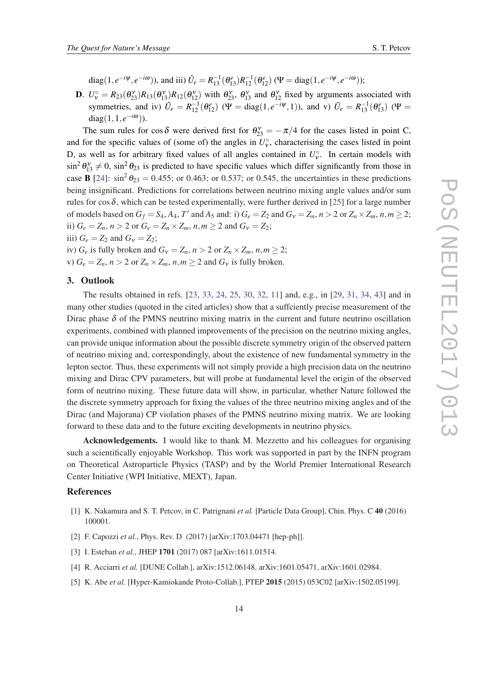<span id="page-13-0"></span>diag(1, $e^{-i\Psi}$ , $e^{-i\omega}$ )), and iii)  $\tilde{U}_e = R_{13}^{-1}(\theta_{13}^e)R_{12}^{-1}(\theta_{12}^e)$  ( $\Psi = \text{diag}(1, e^{-i\Psi}, e^{-i\omega})$ );

**D**.  $U_v^{\circ} = R_{23}(\theta_{23}^{\}})R_{13}(\theta_{13}^{\}})R_{12}(\theta_{12}^{\}})$  with  $\theta_{23}^{\}}$ ,  $\theta_{13}^{\}}$  and  $\theta_{12}^{\}}$  fixed by arguments associated with symmetries, and iv)  $\tilde{U}_e = R_{12}^{-1}(\theta_{12}^e)$  ( $\Psi = \text{diag}(1, e^{-i\Psi}, 1)$ ), and v)  $\tilde{U}_e = R_{13}^{-1}(\theta_{13}^e)$  ( $\Psi =$ diag( $1, 1, e^{-i\omega}$ )).

The sum rules for cos  $\delta$  were derived first for  $\theta_{23}^{\nu} = -\pi/4$  for the cases listed in point C, and for the specific values of (some of) the angles in  $U_{\nu}^{\circ}$ , characterising the cases listed in point D, as well as for arbitrary fixed values of all angles contained in  $U_v^{\circ}$ . In certain models with  $\sin^2 \theta_{13}^v \neq 0$ ,  $\sin^2 \theta_{23}$  is predicted to have specific values which differ significantly from those in case **B** [[24\]](#page-14-0):  $\sin^2 \theta_{23} = 0.455$ ; or 0.463; or 0.537; or 0.545, the uncertainties in these predictions being insignificant. Predictions for correlations between neutrino mixing angle values and/or sum rules for cos  $\delta$ , which can be tested experimentally, were further derived in [\[25](#page-14-0)] for a large number of models based on  $G_f = S_4$ ,  $A_4$ , T' and  $A_5$  and: i)  $G_e = Z_2$  and  $G_v = Z_n$ ,  $n > 2$  or  $Z_n \times Z_m$ ,  $n, m \ge 2$ ; ii)  $G_e = Z_n$ ,  $n > 2$  or  $G_e = Z_n \times Z_m$ ,  $n, m \ge 2$  and  $G_v = Z_2$ ; iii)  $G_e = Z_2$  and  $G_v = Z_2$ ;

iv)  $G_e$  is fully broken and  $G_v = Z_n$ ,  $n > 2$  or  $Z_n \times Z_m$ ,  $n, m \geq 2$ ;

v)  $G_e = Z_n$ ,  $n > 2$  or  $Z_n \times Z_m$ ,  $n, m \ge 2$  and  $G_v$  is fully broken.

## 3. Outlook

The results obtained in refs. [\[23,](#page-14-0) [33,](#page-14-0) [24](#page-14-0), [25](#page-14-0), [30](#page-14-0), [32](#page-14-0), [11](#page-14-0)] and, e.g., in [\[29](#page-14-0), [31](#page-14-0), [34](#page-14-0), [43](#page-15-0)] and in many other studies (quoted in the cited articles) show that a suffciently precise measurement of the Dirac phase  $\delta$  of the PMNS neutrino mixing matrix in the current and future neutrino oscillation experiments, combined with planned improvements of the precision on the neutrino mixing angles, can provide unique information about the possible discrete symmetry origin of the observed pattern of neutrino mixing and, correspondingly, about the existence of new fundamental symmetry in the lepton sector. Thus, these experiments will not simply provide a high precision data on the neutrino mixing and Dirac CPV parameters, but will probe at fundamental level the origin of the observed form of neutrino mixing. These future data will show, in particular, whether Nature followed the the discrete symmetry approach for fixing the values of the three neutrino mixing angles and of the Dirac (and Majorana) CP violation phases of the PMNS neutrino mixing matrix. We are looking forward to these data and to the future exciting developments in neutrino physics.

Acknowledgements. I would like to thank M. Mezzetto and his colleagues for organising such a scientifically enjoyable Workshop. This work was supported in part by the INFN program on Theoretical Astroparticle Physics (TASP) and by the World Premier International Research Center Initiative (WPI Initiative, MEXT), Japan.

#### References

- [1] K. Nakamura and S. T. Petcov, in C. Patrignani *et al.* [Particle Data Group], Chin. Phys. C 40 (2016) 100001.
- [2] F. Capozzi *et al.*, Phys. Rev. D (2017) [arXiv:1703.04471 [hep-ph]].
- [3] I. Esteban *et al.*, JHEP 1701 (2017) 087 [arXiv:1611.01514.
- [4] R. Acciarri *et al.* [DUNE Collab.], arXiv:1512.06148, arXiv:1601.05471, arXiv:1601.02984.
- [5] K. Abe *et al.* [Hyper-Kamiokande Proto-Collab.], PTEP 2015 (2015) 053C02 [arXiv:1502.05199].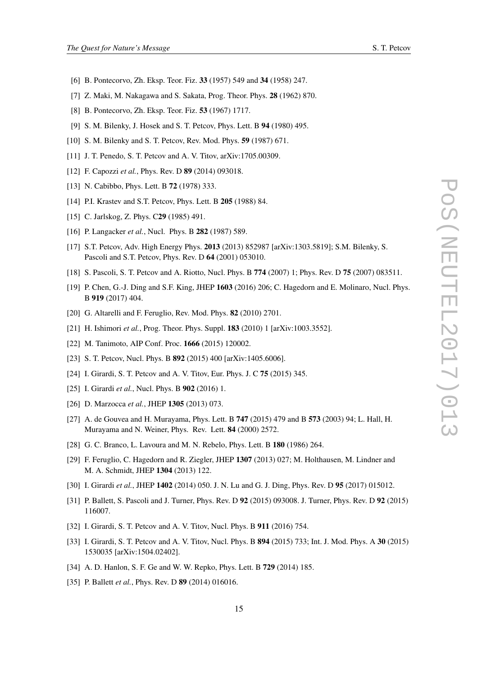- <span id="page-14-0"></span>[6] B. Pontecorvo, Zh. Eksp. Teor. Fiz. 33 (1957) 549 and 34 (1958) 247.
- [7] Z. Maki, M. Nakagawa and S. Sakata, Prog. Theor. Phys. 28 (1962) 870.
- [8] B. Pontecorvo, Zh. Eksp. Teor. Fiz. 53 (1967) 1717.
- [9] S. M. Bilenky, J. Hosek and S. T. Petcov, Phys. Lett. B 94 (1980) 495.
- [10] S. M. Bilenky and S. T. Petcov, Rev. Mod. Phys. **59** (1987) 671.
- [11] J. T. Penedo, S. T. Petcov and A. V. Titov, arXiv:1705.00309.
- [12] F. Capozzi *et al.*, *Phys. Rev. D* **89** (2014) 093018.
- [13] N. Cabibbo, Phys. Lett. B **72** (1978) 333.
- [14] P.I. Krastev and S.T. Petcov, Phys. Lett. B 205 (1988) 84.
- [15] C. Jarlskog, Z. Phys. C<sub>29</sub> (1985) 491.
- [16] P. Langacker *et al.*, Nucl. Phys. B **282** (1987) 589.
- [17] S.T. Petcov, Adv. High Energy Phys. 2013 (2013) 852987 [arXiv:1303.5819]; S.M. Bilenky, S. Pascoli and S.T. Petcov, Phys. Rev. D 64 (2001) 053010.
- [18] S. Pascoli, S. T. Petcov and A. Riotto, Nucl. Phys. B 774 (2007) 1; Phys. Rev. D 75 (2007) 083511.
- [19] P. Chen, G.-J. Ding and S.F. King, JHEP 1603 (2016) 206; C. Hagedorn and E. Molinaro, Nucl. Phys. B 919 (2017) 404.
- [20] G. Altarelli and F. Feruglio, Rev. Mod. Phys. 82 (2010) 2701.
- [21] H. Ishimori et al., Prog. Theor. Phys. Suppl. **183** (2010) 1 [arXiv:1003.3552].
- [22] M. Tanimoto, AIP Conf. Proc. **1666** (2015) 120002.
- [23] S. T. Petcov, Nucl. Phys. B 892 (2015) 400 [arXiv:1405.6006].
- [24] I. Girardi, S. T. Petcov and A. V. Titov, Eur. Phys. J. C **75** (2015) 345.
- [25] I. Girardi *et al.*, Nucl. Phys. B **902** (2016) 1.
- [26] D. Marzocca *et al.*, JHEP 1305 (2013) 073.
- [27] A. de Gouvea and H. Murayama, Phys. Lett. B 747 (2015) 479 and B 573 (2003) 94; L. Hall, H. Murayama and N. Weiner, Phys. Rev. Lett. 84 (2000) 2572.
- [28] G. C. Branco, L. Lavoura and M. N. Rebelo, Phys. Lett. B 180 (1986) 264.
- [29] F. Feruglio, C. Hagedorn and R. Ziegler, JHEP 1307 (2013) 027; M. Holthausen, M. Lindner and M. A. Schmidt, JHEP 1304 (2013) 122.
- [30] I. Girardi *et al.*, JHEP 1402 (2014) 050. J. N. Lu and G. J. Ding, Phys. Rev. D 95 (2017) 015012.
- [31] P. Ballett, S. Pascoli and J. Turner, Phys. Rev. D 92 (2015) 093008. J. Turner, Phys. Rev. D 92 (2015) 116007.
- [32] I. Girardi, S. T. Petcov and A. V. Titov, Nucl. Phys. B 911 (2016) 754.
- [33] I. Girardi, S. T. Petcov and A. V. Titov, Nucl. Phys. B 894 (2015) 733; Int. J. Mod. Phys. A 30 (2015) 1530035 [arXiv:1504.02402].
- [34] A. D. Hanlon, S. F. Ge and W. W. Repko, Phys. Lett. B **729** (2014) 185.
- [35] P. Ballett *et al.*, Phys. Rev. D **89** (2014) 016016.